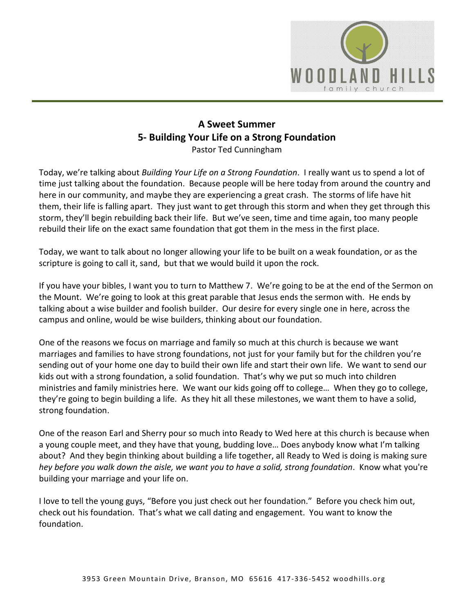

## **A Sweet Summer 5- Building Your Life on a Strong Foundation** Pastor Ted Cunningham

Today, we're talking about *Building Your Life on a Strong Foundation*. I really want us to spend a lot of time just talking about the foundation. Because people will be here today from around the country and here in our community, and maybe they are experiencing a great crash. The storms of life have hit them, their life is falling apart. They just want to get through this storm and when they get through this storm, they'll begin rebuilding back their life. But we've seen, time and time again, too many people rebuild their life on the exact same foundation that got them in the mess in the first place.

Today, we want to talk about no longer allowing your life to be built on a weak foundation, or as the scripture is going to call it, sand, but that we would build it upon the rock.

If you have your bibles, I want you to turn to Matthew 7. We're going to be at the end of the Sermon on the Mount. We're going to look at this great parable that Jesus ends the sermon with. He ends by talking about a wise builder and foolish builder. Our desire for every single one in here, across the campus and online, would be wise builders, thinking about our foundation.

One of the reasons we focus on marriage and family so much at this church is because we want marriages and families to have strong foundations, not just for your family but for the children you're sending out of your home one day to build their own life and start their own life. We want to send our kids out with a strong foundation, a solid foundation. That's why we put so much into children ministries and family ministries here. We want our kids going off to college… When they go to college, they're going to begin building a life. As they hit all these milestones, we want them to have a solid, strong foundation.

One of the reason Earl and Sherry pour so much into Ready to Wed here at this church is because when a young couple meet, and they have that young, budding love… Does anybody know what I'm talking about? And they begin thinking about building a life together, all Ready to Wed is doing is making sure *hey before you walk down the aisle, we want you to have a solid, strong foundation*. Know what you're building your marriage and your life on.

I love to tell the young guys, "Before you just check out her foundation." Before you check him out, check out his foundation. That's what we call dating and engagement. You want to know the foundation.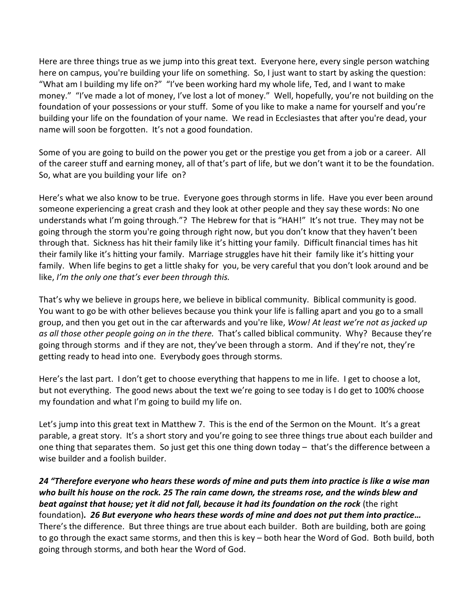Here are three things true as we jump into this great text. Everyone here, every single person watching here on campus, you're building your life on something. So, I just want to start by asking the question: "What am I building my life on?" "I've been working hard my whole life, Ted, and I want to make money." "I've made a lot of money, I've lost a lot of money." Well, hopefully, you're not building on the foundation of your possessions or your stuff. Some of you like to make a name for yourself and you're building your life on the foundation of your name. We read in Ecclesiastes that after you're dead, your name will soon be forgotten. It's not a good foundation.

Some of you are going to build on the power you get or the prestige you get from a job or a career. All of the career stuff and earning money, all of that's part of life, but we don't want it to be the foundation. So, what are you building your life on?

Here's what we also know to be true. Everyone goes through storms in life. Have you ever been around someone experiencing a great crash and they look at other people and they say these words: No one understands what I'm going through."? The Hebrew for that is "HAH!" It's not true. They may not be going through the storm you're going through right now, but you don't know that they haven't been through that. Sickness has hit their family like it's hitting your family. Difficult financial times has hit their family like it's hitting your family. Marriage struggles have hit their family like it's hitting your family. When life begins to get a little shaky for you, be very careful that you don't look around and be like, *I'm the only one that's ever been through this.*

That's why we believe in groups here, we believe in biblical community. Biblical community is good. You want to go be with other believes because you think your life is falling apart and you go to a small group, and then you get out in the car afterwards and you're like, *Wow! At least we're not as jacked up as all those other people going on in the there.* That's called biblical community. Why? Because they're going through storms and if they are not, they've been through a storm. And if they're not, they're getting ready to head into one. Everybody goes through storms.

Here's the last part. I don't get to choose everything that happens to me in life. I get to choose a lot, but not everything. The good news about the text we're going to see today is I do get to 100% choose my foundation and what I'm going to build my life on.

Let's jump into this great text in Matthew 7. This is the end of the Sermon on the Mount. It's a great parable, a great story. It's a short story and you're going to see three things true about each builder and one thing that separates them. So just get this one thing down today – that's the difference between a wise builder and a foolish builder.

*24 "Therefore everyone who hears these words of mine and puts them into practice is like a wise man who built his house on the rock. 25 The rain came down, the streams rose, and the winds blew and beat against that house; yet it did not fall, because it had its foundation on the rock* (the right foundation)*. 26 But everyone who hears these words of mine and does not put them into practice…* There's the difference. But three things are true about each builder. Both are building, both are going to go through the exact same storms, and then this is key – both hear the Word of God. Both build, both going through storms, and both hear the Word of God.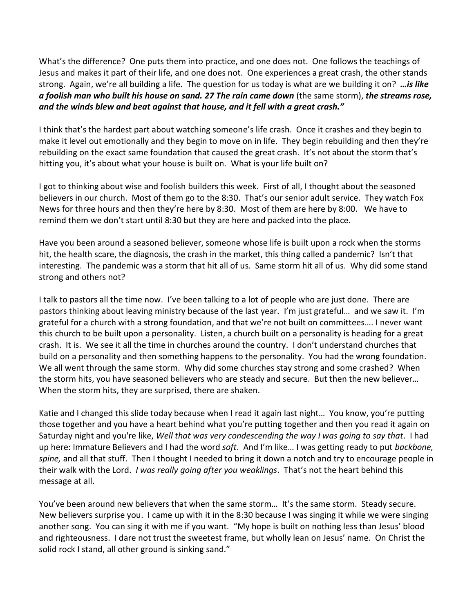What's the difference? One puts them into practice, and one does not. One follows the teachings of Jesus and makes it part of their life, and one does not. One experiences a great crash, the other stands strong. Again, we're all building a life. The question for us today is what are we building it on? *…is like a foolish man who built his house on sand. 27 The rain came down* (the same storm), *the streams rose, and the winds blew and beat against that house, and it fell with a great crash."*

I think that's the hardest part about watching someone's life crash. Once it crashes and they begin to make it level out emotionally and they begin to move on in life. They begin rebuilding and then they're rebuilding on the exact same foundation that caused the great crash. It's not about the storm that's hitting you, it's about what your house is built on. What is your life built on?

I got to thinking about wise and foolish builders this week. First of all, I thought about the seasoned believers in our church. Most of them go to the 8:30. That's our senior adult service. They watch Fox News for three hours and then they're here by 8:30. Most of them are here by 8:00. We have to remind them we don't start until 8:30 but they are here and packed into the place.

Have you been around a seasoned believer, someone whose life is built upon a rock when the storms hit, the health scare, the diagnosis, the crash in the market, this thing called a pandemic? Isn't that interesting. The pandemic was a storm that hit all of us. Same storm hit all of us. Why did some stand strong and others not?

I talk to pastors all the time now. I've been talking to a lot of people who are just done. There are pastors thinking about leaving ministry because of the last year. I'm just grateful… and we saw it. I'm grateful for a church with a strong foundation, and that we're not built on committees…. I never want this church to be built upon a personality. Listen, a church built on a personality is heading for a great crash. It is. We see it all the time in churches around the country. I don't understand churches that build on a personality and then something happens to the personality. You had the wrong foundation. We all went through the same storm. Why did some churches stay strong and some crashed? When the storm hits, you have seasoned believers who are steady and secure. But then the new believer… When the storm hits, they are surprised, there are shaken.

Katie and I changed this slide today because when I read it again last night… You know, you're putting those together and you have a heart behind what you're putting together and then you read it again on Saturday night and you're like, *Well that was very condescending the way I was going to say that*. I had up here: Immature Believers and I had the word *soft*. And I'm like… I was getting ready to put *backbone, spine,* and all that stuff. Then I thought I needed to bring it down a notch and try to encourage people in their walk with the Lord. *I was really going after you weaklings*. That's not the heart behind this message at all.

You've been around new believers that when the same storm… It's the same storm. Steady secure. New believers surprise you. I came up with it in the 8:30 because I was singing it while we were singing another song. You can sing it with me if you want. "My hope is built on nothing less than Jesus' blood and righteousness. I dare not trust the sweetest frame, but wholly lean on Jesus' name. On Christ the solid rock I stand, all other ground is sinking sand."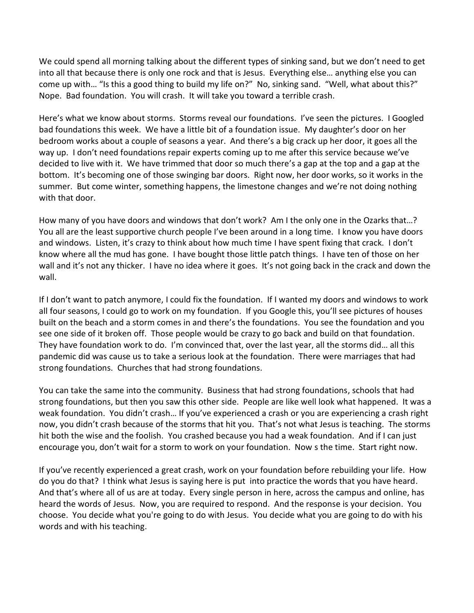We could spend all morning talking about the different types of sinking sand, but we don't need to get into all that because there is only one rock and that is Jesus. Everything else… anything else you can come up with… "Is this a good thing to build my life on?" No, sinking sand. "Well, what about this?" Nope. Bad foundation. You will crash. It will take you toward a terrible crash.

Here's what we know about storms. Storms reveal our foundations. I've seen the pictures. I Googled bad foundations this week. We have a little bit of a foundation issue. My daughter's door on her bedroom works about a couple of seasons a year. And there's a big crack up her door, it goes all the way up. I don't need foundations repair experts coming up to me after this service because we've decided to live with it. We have trimmed that door so much there's a gap at the top and a gap at the bottom. It's becoming one of those swinging bar doors. Right now, her door works, so it works in the summer. But come winter, something happens, the limestone changes and we're not doing nothing with that door.

How many of you have doors and windows that don't work? Am I the only one in the Ozarks that…? You all are the least supportive church people I've been around in a long time. I know you have doors and windows. Listen, it's crazy to think about how much time I have spent fixing that crack. I don't know where all the mud has gone. I have bought those little patch things. I have ten of those on her wall and it's not any thicker. I have no idea where it goes. It's not going back in the crack and down the wall.

If I don't want to patch anymore, I could fix the foundation. If I wanted my doors and windows to work all four seasons, I could go to work on my foundation. If you Google this, you'll see pictures of houses built on the beach and a storm comes in and there's the foundations. You see the foundation and you see one side of it broken off. Those people would be crazy to go back and build on that foundation. They have foundation work to do. I'm convinced that, over the last year, all the storms did… all this pandemic did was cause us to take a serious look at the foundation. There were marriages that had strong foundations. Churches that had strong foundations.

You can take the same into the community. Business that had strong foundations, schools that had strong foundations, but then you saw this other side. People are like well look what happened. It was a weak foundation. You didn't crash… If you've experienced a crash or you are experiencing a crash right now, you didn't crash because of the storms that hit you. That's not what Jesus is teaching. The storms hit both the wise and the foolish. You crashed because you had a weak foundation. And if I can just encourage you, don't wait for a storm to work on your foundation. Now s the time. Start right now.

If you've recently experienced a great crash, work on your foundation before rebuilding your life. How do you do that? I think what Jesus is saying here is put into practice the words that you have heard. And that's where all of us are at today. Every single person in here, across the campus and online, has heard the words of Jesus. Now, you are required to respond. And the response is your decision. You choose. You decide what you're going to do with Jesus. You decide what you are going to do with his words and with his teaching.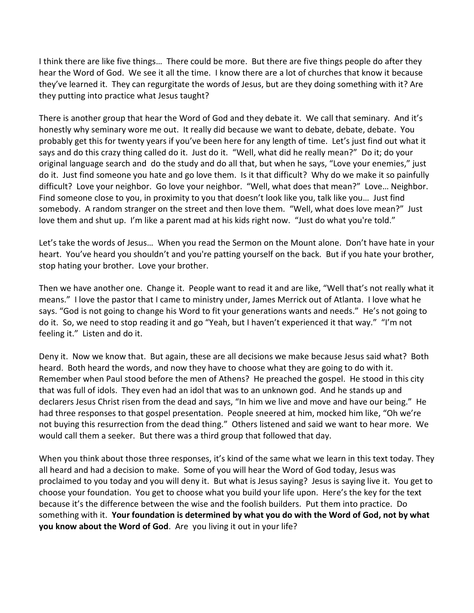I think there are like five things… There could be more. But there are five things people do after they hear the Word of God. We see it all the time. I know there are a lot of churches that know it because they've learned it. They can regurgitate the words of Jesus, but are they doing something with it? Are they putting into practice what Jesus taught?

There is another group that hear the Word of God and they debate it. We call that seminary. And it's honestly why seminary wore me out. It really did because we want to debate, debate, debate. You probably get this for twenty years if you've been here for any length of time. Let's just find out what it says and do this crazy thing called do it. Just do it. "Well, what did he really mean?" Do it; do your original language search and do the study and do all that, but when he says, "Love your enemies," just do it. Just find someone you hate and go love them. Is it that difficult? Why do we make it so painfully difficult? Love your neighbor. Go love your neighbor. "Well, what does that mean?" Love… Neighbor. Find someone close to you, in proximity to you that doesn't look like you, talk like you… Just find somebody. A random stranger on the street and then love them. "Well, what does love mean?" Just love them and shut up. I'm like a parent mad at his kids right now. "Just do what you're told."

Let's take the words of Jesus… When you read the Sermon on the Mount alone. Don't have hate in your heart. You've heard you shouldn't and you're patting yourself on the back. But if you hate your brother, stop hating your brother. Love your brother.

Then we have another one. Change it. People want to read it and are like, "Well that's not really what it means." I love the pastor that I came to ministry under, James Merrick out of Atlanta. I love what he says. "God is not going to change his Word to fit your generations wants and needs." He's not going to do it. So, we need to stop reading it and go "Yeah, but I haven't experienced it that way." "I'm not feeling it." Listen and do it.

Deny it. Now we know that. But again, these are all decisions we make because Jesus said what? Both heard. Both heard the words, and now they have to choose what they are going to do with it. Remember when Paul stood before the men of Athens? He preached the gospel. He stood in this city that was full of idols. They even had an idol that was to an unknown god. And he stands up and declarers Jesus Christ risen from the dead and says, "In him we live and move and have our being." He had three responses to that gospel presentation. People sneered at him, mocked him like, "Oh we're not buying this resurrection from the dead thing." Others listened and said we want to hear more. We would call them a seeker. But there was a third group that followed that day.

When you think about those three responses, it's kind of the same what we learn in this text today. They all heard and had a decision to make. Some of you will hear the Word of God today, Jesus was proclaimed to you today and you will deny it. But what is Jesus saying? Jesus is saying live it. You get to choose your foundation. You get to choose what you build your life upon. Here's the key for the text because it's the difference between the wise and the foolish builders. Put them into practice. Do something with it. **Your foundation is determined by what you do with the Word of God, not by what you know about the Word of God**. Are you living it out in your life?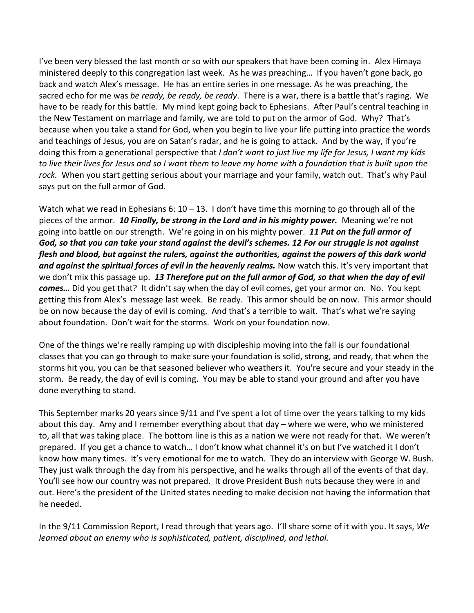I've been very blessed the last month or so with our speakers that have been coming in. Alex Himaya ministered deeply to this congregation last week. As he was preaching… If you haven't gone back, go back and watch Alex's message. He has an entire series in one message. As he was preaching, the sacred echo for me was *be ready, be ready, be ready*. There is a war, there is a battle that's raging. We have to be ready for this battle. My mind kept going back to Ephesians. After Paul's central teaching in the New Testament on marriage and family, we are told to put on the armor of God. Why? That's because when you take a stand for God, when you begin to live your life putting into practice the words and teachings of Jesus, you are on Satan's radar, and he is going to attack. And by the way, if you're doing this from a generational perspective that *I don't want to just live my life for Jesus, I want my kids to live their lives for Jesus and so I want them to leave my home with a foundation that is built upon the rock.* When you start getting serious about your marriage and your family, watch out. That's why Paul says put on the full armor of God.

Watch what we read in Ephesians 6:  $10 - 13$ . I don't have time this morning to go through all of the pieces of the armor. *10 Finally, be strong in the Lord and in his mighty power.* Meaning we're not going into battle on our strength. We're going in on his mighty power. *11 Put on the full armor of God, so that you can take your stand against the devil's schemes. 12 For our struggle is not against flesh and blood, but against the rulers, against the authorities, against the powers of this dark world and against the spiritual forces of evil in the heavenly realms.* Now watch this. It's very important that we don't mix this passage up. *13 Therefore put on the full armor of God, so that when the day of evil comes…* Did you get that? It didn't say when the day of evil comes, get your armor on. No. You kept getting this from Alex's message last week. Be ready. This armor should be on now. This armor should be on now because the day of evil is coming. And that's a terrible to wait. That's what we're saying about foundation. Don't wait for the storms. Work on your foundation now.

One of the things we're really ramping up with discipleship moving into the fall is our foundational classes that you can go through to make sure your foundation is solid, strong, and ready, that when the storms hit you, you can be that seasoned believer who weathers it. You're secure and your steady in the storm. Be ready, the day of evil is coming. You may be able to stand your ground and after you have done everything to stand.

This September marks 20 years since 9/11 and I've spent a lot of time over the years talking to my kids about this day. Amy and I remember everything about that day – where we were, who we ministered to, all that was taking place. The bottom line is this as a nation we were not ready for that. We weren't prepared. If you get a chance to watch… I don't know what channel it's on but I've watched it I don't know how many times. It's very emotional for me to watch. They do an interview with George W. Bush. They just walk through the day from his perspective, and he walks through all of the events of that day. You'll see how our country was not prepared. It drove President Bush nuts because they were in and out. Here's the president of the United states needing to make decision not having the information that he needed.

In the 9/11 Commission Report, I read through that years ago. I'll share some of it with you. It says, *We learned about an enemy who is sophisticated, patient, disciplined, and lethal.*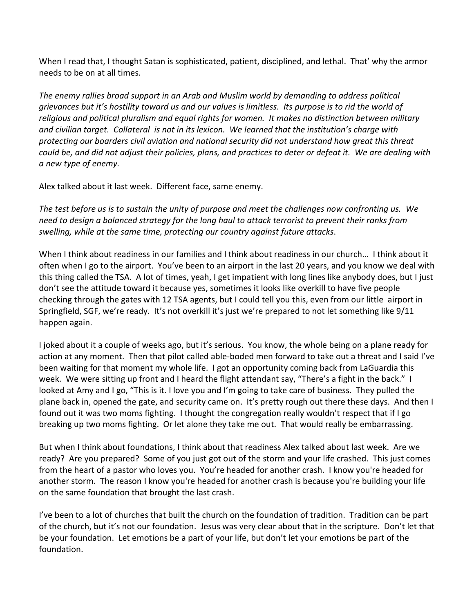When I read that, I thought Satan is sophisticated, patient, disciplined, and lethal. That' why the armor needs to be on at all times.

*The enemy rallies broad support in an Arab and Muslim world by demanding to address political grievances but it's hostility toward us and our values is limitless. Its purpose is to rid the world of religious and political pluralism and equal rights for women. It makes no distinction between military and civilian target. Collateral is not in its lexicon. We learned that the institution's charge with protecting our boarders civil aviation and national security did not understand how great this threat could be, and did not adjust their policies, plans, and practices to deter or defeat it. We are dealing with a new type of enemy.*

Alex talked about it last week. Different face, same enemy.

*The test before us is to sustain the unity of purpose and meet the challenges now confronting us. We need to design a balanced strategy for the long haul to attack terrorist to prevent their ranks from swelling, while at the same time, protecting our country against future attacks*.

When I think about readiness in our families and I think about readiness in our church… I think about it often when I go to the airport. You've been to an airport in the last 20 years, and you know we deal with this thing called the TSA. A lot of times, yeah, I get impatient with long lines like anybody does, but I just don't see the attitude toward it because yes, sometimes it looks like overkill to have five people checking through the gates with 12 TSA agents, but I could tell you this, even from our little airport in Springfield, SGF, we're ready. It's not overkill it's just we're prepared to not let something like 9/11 happen again.

I joked about it a couple of weeks ago, but it's serious. You know, the whole being on a plane ready for action at any moment. Then that pilot called able-boded men forward to take out a threat and I said I've been waiting for that moment my whole life. I got an opportunity coming back from LaGuardia this week. We were sitting up front and I heard the flight attendant say, "There's a fight in the back." I looked at Amy and I go, "This is it. I love you and I'm going to take care of business. They pulled the plane back in, opened the gate, and security came on. It's pretty rough out there these days. And then I found out it was two moms fighting. I thought the congregation really wouldn't respect that if I go breaking up two moms fighting. Or let alone they take me out. That would really be embarrassing.

But when I think about foundations, I think about that readiness Alex talked about last week. Are we ready? Are you prepared? Some of you just got out of the storm and your life crashed. This just comes from the heart of a pastor who loves you. You're headed for another crash. I know you're headed for another storm. The reason I know you're headed for another crash is because you're building your life on the same foundation that brought the last crash.

I've been to a lot of churches that built the church on the foundation of tradition. Tradition can be part of the church, but it's not our foundation. Jesus was very clear about that in the scripture. Don't let that be your foundation. Let emotions be a part of your life, but don't let your emotions be part of the foundation.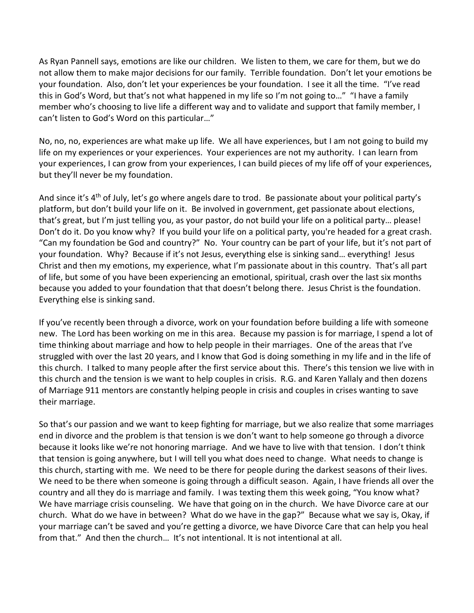As Ryan Pannell says, emotions are like our children. We listen to them, we care for them, but we do not allow them to make major decisions for our family. Terrible foundation. Don't let your emotions be your foundation. Also, don't let your experiences be your foundation. I see it all the time. "I've read this in God's Word, but that's not what happened in my life so I'm not going to…" "I have a family member who's choosing to live life a different way and to validate and support that family member, I can't listen to God's Word on this particular…"

No, no, no, experiences are what make up life. We all have experiences, but I am not going to build my life on my experiences or your experiences. Your experiences are not my authority. I can learn from your experiences, I can grow from your experiences, I can build pieces of my life off of your experiences, but they'll never be my foundation.

And since it's 4<sup>th</sup> of July, let's go where angels dare to trod. Be passionate about your political party's platform, but don't build your life on it. Be involved in government, get passionate about elections, that's great, but I'm just telling you, as your pastor, do not build your life on a political party… please! Don't do it. Do you know why? If you build your life on a political party, you're headed for a great crash. "Can my foundation be God and country?" No. Your country can be part of your life, but it's not part of your foundation. Why? Because if it's not Jesus, everything else is sinking sand… everything! Jesus Christ and then my emotions, my experience, what I'm passionate about in this country. That's all part of life, but some of you have been experiencing an emotional, spiritual, crash over the last six months because you added to your foundation that that doesn't belong there. Jesus Christ is the foundation. Everything else is sinking sand.

If you've recently been through a divorce, work on your foundation before building a life with someone new. The Lord has been working on me in this area. Because my passion is for marriage, I spend a lot of time thinking about marriage and how to help people in their marriages. One of the areas that I've struggled with over the last 20 years, and I know that God is doing something in my life and in the life of this church. I talked to many people after the first service about this. There's this tension we live with in this church and the tension is we want to help couples in crisis. R.G. and Karen Yallaly and then dozens of Marriage 911 mentors are constantly helping people in crisis and couples in crises wanting to save their marriage.

So that's our passion and we want to keep fighting for marriage, but we also realize that some marriages end in divorce and the problem is that tension is we don't want to help someone go through a divorce because it looks like we're not honoring marriage. And we have to live with that tension. I don't think that tension is going anywhere, but I will tell you what does need to change. What needs to change is this church, starting with me. We need to be there for people during the darkest seasons of their lives. We need to be there when someone is going through a difficult season. Again, I have friends all over the country and all they do is marriage and family. I was texting them this week going, "You know what? We have marriage crisis counseling. We have that going on in the church. We have Divorce care at our church. What do we have in between? What do we have in the gap?" Because what we say is, Okay, if your marriage can't be saved and you're getting a divorce, we have Divorce Care that can help you heal from that." And then the church… It's not intentional. It is not intentional at all.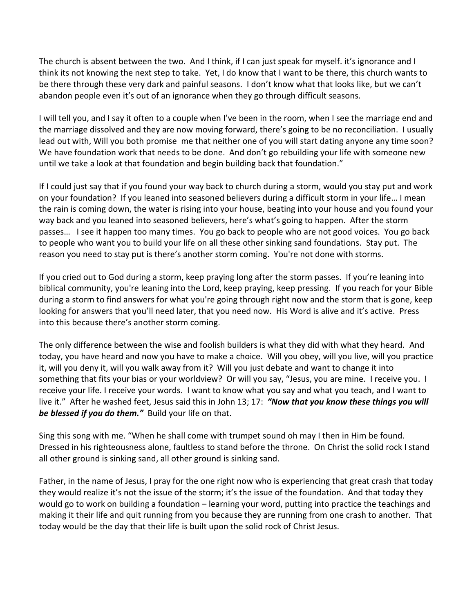The church is absent between the two. And I think, if I can just speak for myself. it's ignorance and I think its not knowing the next step to take. Yet, I do know that I want to be there, this church wants to be there through these very dark and painful seasons. I don't know what that looks like, but we can't abandon people even it's out of an ignorance when they go through difficult seasons.

I will tell you, and I say it often to a couple when I've been in the room, when I see the marriage end and the marriage dissolved and they are now moving forward, there's going to be no reconciliation. I usually lead out with, Will you both promise me that neither one of you will start dating anyone any time soon? We have foundation work that needs to be done. And don't go rebuilding your life with someone new until we take a look at that foundation and begin building back that foundation."

If I could just say that if you found your way back to church during a storm, would you stay put and work on your foundation? If you leaned into seasoned believers during a difficult storm in your life… I mean the rain is coming down, the water is rising into your house, beating into your house and you found your way back and you leaned into seasoned believers, here's what's going to happen. After the storm passes… I see it happen too many times. You go back to people who are not good voices. You go back to people who want you to build your life on all these other sinking sand foundations. Stay put. The reason you need to stay put is there's another storm coming. You're not done with storms.

If you cried out to God during a storm, keep praying long after the storm passes. If you're leaning into biblical community, you're leaning into the Lord, keep praying, keep pressing. If you reach for your Bible during a storm to find answers for what you're going through right now and the storm that is gone, keep looking for answers that you'll need later, that you need now. His Word is alive and it's active. Press into this because there's another storm coming.

The only difference between the wise and foolish builders is what they did with what they heard. And today, you have heard and now you have to make a choice. Will you obey, will you live, will you practice it, will you deny it, will you walk away from it? Will you just debate and want to change it into something that fits your bias or your worldview? Or will you say, "Jesus, you are mine. I receive you. I receive your life. I receive your words. I want to know what you say and what you teach, and I want to live it." After he washed feet, Jesus said this in John 13; 17: *"Now that you know these things you will be blessed if you do them."* Build your life on that.

Sing this song with me. "When he shall come with trumpet sound oh may I then in Him be found. Dressed in his righteousness alone, faultless to stand before the throne. On Christ the solid rock I stand all other ground is sinking sand, all other ground is sinking sand.

Father, in the name of Jesus, I pray for the one right now who is experiencing that great crash that today they would realize it's not the issue of the storm; it's the issue of the foundation. And that today they would go to work on building a foundation – learning your word, putting into practice the teachings and making it their life and quit running from you because they are running from one crash to another. That today would be the day that their life is built upon the solid rock of Christ Jesus.